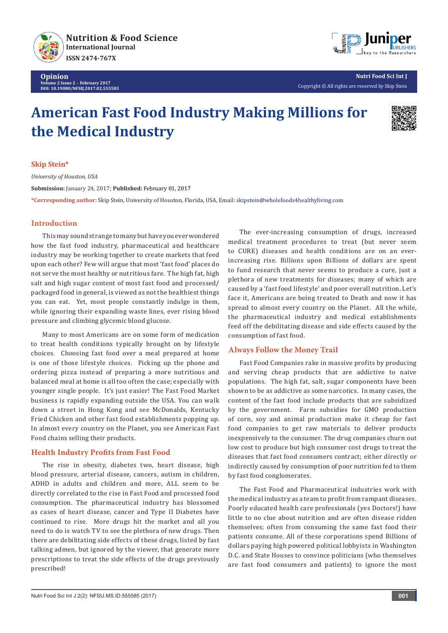

**Opinion Volume 2 Issue 2** - **February 2017 DOI: [10.19080/NFSIJ.2017.02.555585](http://dx.doi.org/10.19080/NFSIJ.2017.02.555585
)**



**Nutri Food Sci Int J**

Copyright © All rights are reserved by Skip Stein

# **American Fast Food Industry Making Millions for the Medical Industry**



## **Skip Stein\***

*University of Houston, USA* **Submission:** January 24, 2017; **Published:** February 01, 2017 **\*Corresponding author:** Skip Stein, University of Houston, Florida, USA, Email:

## **Introduction**

This may sound strange to many but have you ever wondered how the fast food industry, pharmaceutical and healthcare industry may be working together to create markets that feed upon each other? Few will argue that most 'fast food' places do not serve the most healthy or nutritious fare. The high fat, high salt and high sugar content of most fast food and processed/ packaged food in general, is viewed as not the healthiest things you can eat. Yet, most people constantly indulge in them, while ignoring their expanding waste lines, ever rising blood pressure and climbing glycemic blood glucose.

Many to most Americans are on some form of medication to treat health conditions typically brought on by lifestyle choices. Choosing fast food over a meal prepared at home is one of those lifestyle choices. Picking up the phone and ordering pizza instead of preparing a more nutritious and balanced meal at home is all too often the case; especially with younger single people. It's just easier! The Fast Food Market business is rapidly expanding outside the USA. You can walk down a street in Hong Kong and see McDonalds, Kentucky Fried Chicken and other fast food establishments popping up. In almost every country on the Planet, you see American Fast Food chains selling their products.

#### **Health Industry Profits from Fast Food**

The rise in obesity, diabetes two, heart disease, high blood pressure, arterial disease, cancers, autism in children, ADHD in adults and children and more, ALL seem to be directly correlated to the rise in Fast Food and processed food consumption. The pharmaceutical industry has blossomed as cases of heart disease, cancer and Type II Diabetes have continued to rise. More drugs hit the market and all you need to do is watch TV to see the plethora of new drugs. Then there are debilitating side effects of these drugs, listed by fast talking admen, but ignored by the viewer, that generate more prescriptions to treat the side effects of the drugs previously prescribed!

The ever-increasing consumption of drugs, increased medical treatment procedures to treat (but never seem to CURE) diseases and health conditions are on an everincreasing rise. Billions upon Billions of dollars are spent to fund research that never seems to produce a cure, just a plethora of new treatments for diseases; many of which are caused by a 'fast food lifestyle' and poor overall nutrition. Let's face it, Americans are being treated to Death and now it has spread to almost every country on the Planet. All the while, the pharmaceutical industry and medical establishments feed off the debilitating disease and side effects caused by the consumption of fast food.

## **Always Follow the Money Trail**

Fast Food Companies rake in massive profits by producing and serving cheap products that are addictive to naive populations. The high fat, salt, sugar components have been shown to be as addictive as some narcotics. In many cases, the content of the fast food include products that are subsidized by the government. Farm subsidies for GMO production of corn, soy and animal production make it cheap for fast food companies to get raw materials to deliver products inexpensively to the consumer. The drug companies churn out low cost to produce but high consumer cost drugs to treat the diseases that fast food consumers contract; either directly or indirectly caused by consumption of poor nutrition fed to them by fast food conglomerates.

The Fast Food and Pharmaceutical industries work with the medical industry as a team to profit from rampant diseases. Poorly educated health care professionals (yes Doctors!) have little to no clue about nutrition and are often disease ridden themselves; often from consuming the same fast food their patients consume. All of these corporations spend Billions of dollars paying high powered political lobbyists in Washington D.C. and State Houses to convince politicians (who themselves are fast food consumers and patients) to ignore the most